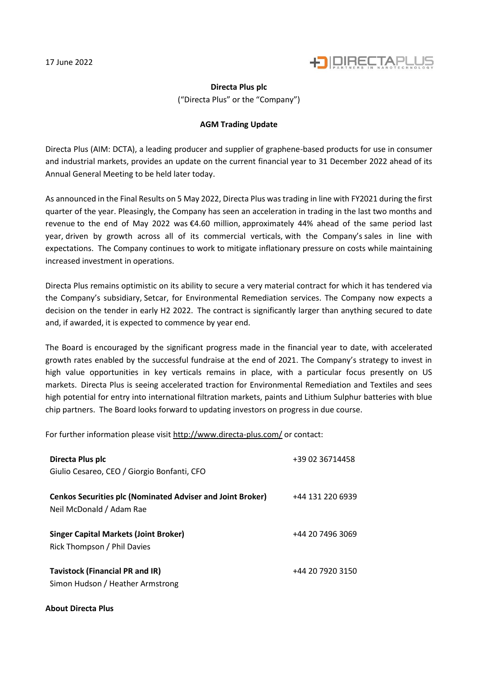

## **Directa Plus plc**

("Directa Plus" or the "Company")

## **AGM Trading Update**

Directa Plus (AIM: DCTA), a leading producer and supplier of graphene-based products for use in consumer and industrial markets, provides an update on the current financial year to 31 December 2022 ahead of its Annual General Meeting to be held later today.

As announced in the Final Results on 5 May 2022, Directa Plus was trading in line with FY2021 during the first quarter of the year. Pleasingly, the Company has seen an acceleration in trading in the last two months and revenue to the end of May 2022 was €4.60 million, approximately 44% ahead of the same period last year, driven by growth across all of its commercial verticals, with the Company's sales in line with expectations. The Company continues to work to mitigate inflationary pressure on costs while maintaining increased investment in operations.

Directa Plus remains optimistic on its ability to secure a very material contract for which it has tendered via the Company's subsidiary, Setcar, for Environmental Remediation services. The Company now expects a decision on the tender in early H2 2022. The contract is significantly larger than anything secured to date and, if awarded, it is expected to commence by year end.

The Board is encouraged by the significant progress made in the financial year to date, with accelerated growth rates enabled by the successful fundraise at the end of 2021. The Company's strategy to invest in high value opportunities in key verticals remains in place, with a particular focus presently on US markets. Directa Plus is seeing accelerated traction for Environmental Remediation and Textiles and sees high potential for entry into international filtration markets, paints and Lithium Sulphur batteries with blue chip partners. The Board looks forward to updating investors on progress in due course.

For further information please visi[t http://www.directa-plus.com/](http://www.directa-plus.com/) or contact:

| Directa Plus plc<br>Giulio Cesareo, CEO / Giorgio Bonfanti, CFO                               | +39 02 36714458  |
|-----------------------------------------------------------------------------------------------|------------------|
| <b>Cenkos Securities plc (Nominated Adviser and Joint Broker)</b><br>Neil McDonald / Adam Rae | +44 131 220 6939 |
| <b>Singer Capital Markets (Joint Broker)</b><br>Rick Thompson / Phil Davies                   | +44 20 7496 3069 |
| <b>Tavistock (Financial PR and IR)</b><br>Simon Hudson / Heather Armstrong                    | +44 20 7920 3150 |

## **About Directa Plus**